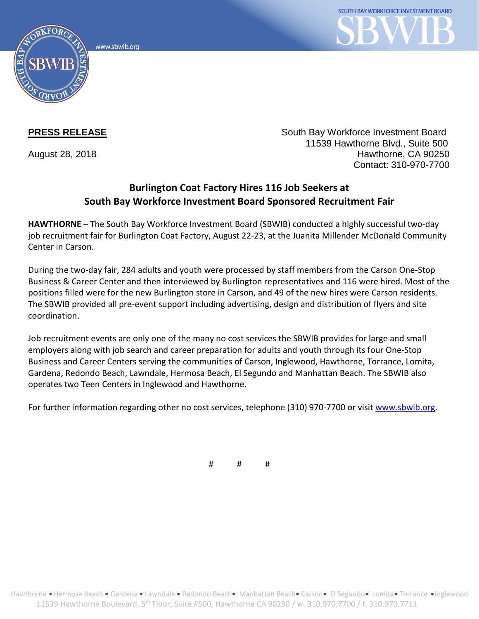www.sbwib.org



**PRESS RELEASE** South Bay Workforce Investment Board 11539 Hawthorne Blvd., Suite 500 August 28, 2018 **Hawthorne**, CA 90250 Contact: 310-970-7700

## **Burlington Coat Factory Hires 116 Job Seekers at South Bay Workforce Investment Board Sponsored Recruitment Fair**

**HAWTHORNE** – The South Bay Workforce Investment Board (SBWIB) conducted a highly successful two-day job recruitment fair for Burlington Coat Factory, August 22-23, at the Juanita Millender McDonald Community Center in Carson.

During the two-day fair, 284 adults and youth were processed by staff members from the Carson One-Stop Business & Career Center and then interviewed by Burlington representatives and 116 were hired. Most of the positions filled were for the new Burlington store in Carson, and 49 of the new hires were Carson residents. The SBWIB provided all pre-event support including advertising, design and distribution of flyers and site coordination.

Job recruitment events are only one of the many no cost services the SBWIB provides for large and small employers along with job search and career preparation for adults and youth through its four One-Stop Business and Career Centers serving the communities of Carson, Inglewood, Hawthorne, Torrance, Lomita, Gardena, Redondo Beach, Lawndale, Hermosa Beach, El Segundo and Manhattan Beach. The SBWIB also operates two Teen Centers in Inglewood and Hawthorne.

For further information regarding other no cost services, telephone (310) 970-7700 or visit [www.sbwib.org.](http://www.sbwib.org/)

# # #